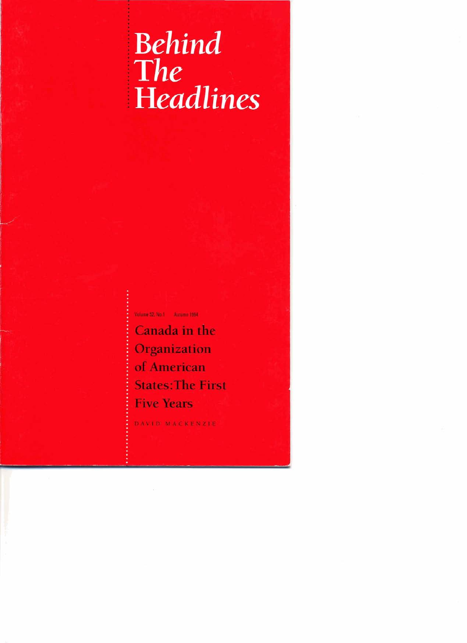# <sup>i</sup>**Behind**  <sup>t</sup>**The Headlines**

**Vohm 52,Na.l Autumn lW4** 

**Canada in the Organization of American States:The First Five Years** 

**DAVID MACKENZlE**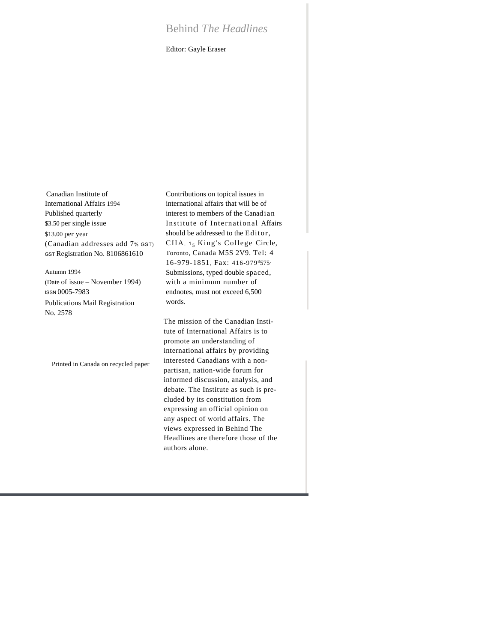# Behind *The Headlines*

Editor: Gayle Eraser

Canadian Institute of International Affairs 1994 Published quarterly \$3.50 per single issue \$13.00 per year (Canadian addresses add 7% GST) GST Registration No. 8106861610

Autumn 1994 (Date of issue – November 1994) ISSN 0005-7983 Publications Mail Registration

No. 2578

Printed in Canada on recycled paper

Contributions on topical issues in international affairs that will be of interest to members of the Canadian Institute of International Affairs should be addressed to the Editor, CIIA, 15 King's College Circle, Toronto, Canada M5S 2V9. Tel: 4 16-979-1851, Fax: 416-979<sup>8</sup>575. Submissions, typed double spaced, with a minimum number of endnotes, must not exceed 6,500 words.

The mission of the Canadian Institute of International Affairs is to promote an understanding of international affairs by providing interested Canadians with a nonpartisan, nation-wide forum for informed discussion, analysis, and debate. The Institute as such is precluded by its constitution from expressing an official opinion on any aspect of world affairs. The views expressed in Behind The Headlines are therefore those of the authors alone.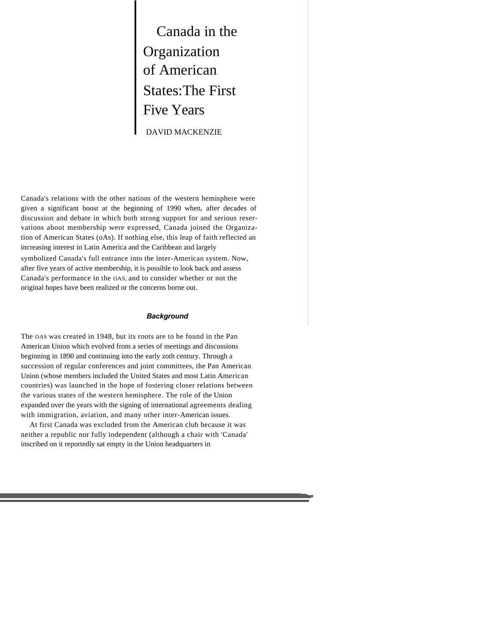Canada in the Organization of American States:The First Five Years DAVID MACKENZIE

Canada's relations with the other nations of the western hemisphere were given a significant boost at the beginning of 1990 when, after decades of discussion and debate in which both strong support for and serious reservations about membership were expressed, Canada joined the Organization of American States (oAs). If nothing else, this leap of faith reflected an increasing interest in Latin America and the Caribbean and largely symbolized Canada's full entrance into the inter-American system. Now, after five years of active membership, it is possible to look back and assess Canada's performance in the OAS, and to consider whether or not the original hopes have been realized or the concerns borne out.

#### *Background*

The OAS was created in 1948, but its roots are to be found in the Pan American Union which evolved from a series of meetings and discussions beginning in 1890 and continuing into the early zoth century. Through a succession of regular conferences and joint committees, the Pan American Union (whose members included the United States and most Latin American countries) was launched in the hope of fostering closer relations between the various states of the western hemisphere. The role of the Union expanded over the years with the signing of international agreements dealing with immigration, aviation, and many other inter-American issues.

At first Canada was excluded from the American club because it was neither a republic nor fully independent (although a chair with 'Canada' inscribed on it reportedly sat empty in the Union headquarters in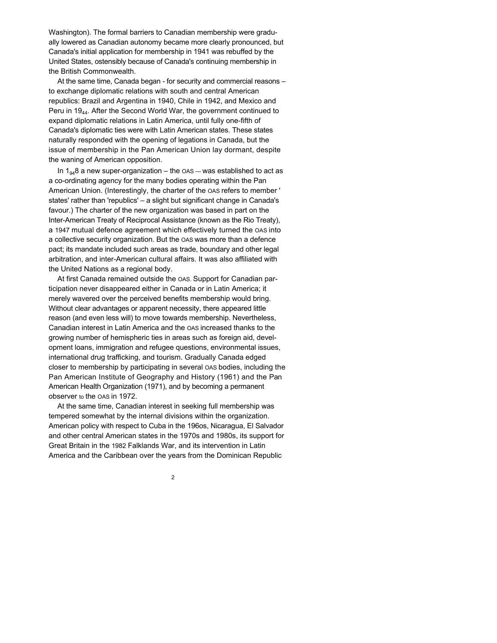Washington). The formal barriers to Canadian membership were gradually lowered as Canadian autonomy became more clearly pronounced, but Canada's initial application for membership in 1941 was rebuffed by the United States, ostensibly because of Canada's continuing membership in the British Commonwealth.

At the same time, Canada began - for security and commercial reasons – to exchange diplomatic relations with south and central American republics: Brazil and Argentina in 1940, Chile in 1942, and Mexico and Peru in 19<sub>44</sub>. After the Second World War, the government continued to expand diplomatic relations in Latin America, until fully one-fifth of Canada's diplomatic ties were with Latin American states. These states naturally responded with the opening of legations in Canada, but the issue of membership in the Pan American Union lay dormant, despite the waning of American opposition.

In  $1_{94}$ 8 a new super-organization – the  $\alpha$ AS – was established to act as a co-ordinating agency for the many bodies operating within the Pan American Union. (Interestingly, the charter of the OAS refers to member ' states' rather than 'republics' – a slight but significant change in Canada's favour.) The charter of the new organization was based in part on the Inter-American Treaty of Reciprocal Assistance (known as the Rio Treaty), a 1947 mutual defence agreement which effectively turned the OAS into a collective security organization. But the OAS was more than a defence pact; its mandate included such areas as trade, boundary and other legal arbitration, and inter-American cultural affairs. It was also affiliated with the United Nations as a regional body.

At first Canada remained outside the OAS. Support for Canadian participation never disappeared either in Canada or in Latin America; it merely wavered over the perceived benefits membership would bring. Without clear advantages or apparent necessity, there appeared little reason (and even less will) to move towards membership. Nevertheless, Canadian interest in Latin America and the OAS increased thanks to the growing number of hemispheric ties in areas such as foreign aid, development loans, immigration and refugee questions, environmental issues, international drug trafficking, and tourism. Gradually Canada edged closer to membership by participating in several OAS bodies, including the Pan American Institute of Geography and History (1961) and the Pan American Health Organization (1971), and by becoming a permanent observer to the OAS in 1972.

At the same time, Canadian interest in seeking full membership was tempered somewhat by the internal divisions within the organization. American policy with respect to Cuba in the 196os, Nicaragua, El Salvador and other central American states in the 1970s and 1980s, its support for Great Britain in the 1982 Falklands War, and its intervention in Latin America and the Caribbean over the years from the Dominican Republic

2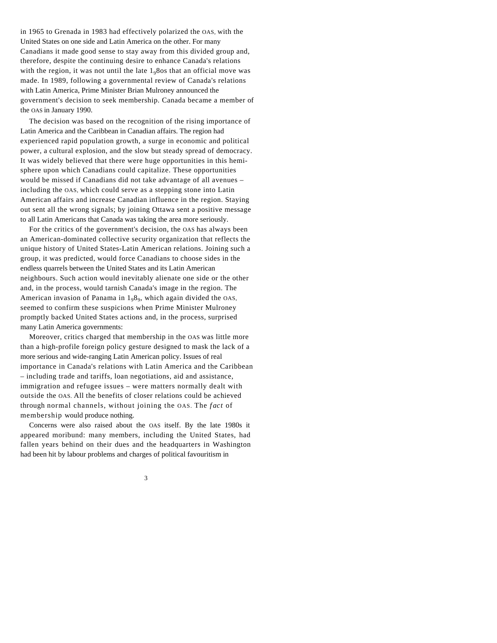in 1965 to Grenada in 1983 had effectively polarized the OAS, with the United States on one side and Latin America on the other. For many Canadians it made good sense to stay away from this divided group and, therefore, despite the continuing desire to enhance Canada's relations with the region, it was not until the late  $1<sub>9</sub>8$ os that an official move was made. In 1989, following a governmental review of Canada's relations with Latin America, Prime Minister Brian Mulroney announced the government's decision to seek membership. Canada became a member of the OAS in January 1990.

The decision was based on the recognition of the rising importance of Latin America and the Caribbean in Canadian affairs. The region had experienced rapid population growth, a surge in economic and political power, a cultural explosion, and the slow but steady spread of democracy. It was widely believed that there were huge opportunities in this hemisphere upon which Canadians could capitalize. These opportunities would be missed if Canadians did not take advantage of all avenues – including the OAS, which could serve as a stepping stone into Latin American affairs and increase Canadian influence in the region. Staying out sent all the wrong signals; by joining Ottawa sent a positive message to all Latin Americans that Canada was taking the area more seriously.

For the critics of the government's decision, the OAS has always been an American-dominated collective security organization that reflects the unique history of United States-Latin American relations. Joining such a group, it was predicted, would force Canadians to choose sides in the endless quarrels between the United States and its Latin American neighbours. Such action would inevitably alienate one side or the other and, in the process, would tarnish Canada's image in the region. The American invasion of Panama in  $1_98_9$ , which again divided the OAS, seemed to confirm these suspicions when Prime Minister Mulroney promptly backed United States actions and, in the process, surprised many Latin America governments:

Moreover, critics charged that membership in the OAS was little more than a high-profile foreign policy gesture designed to mask the lack of a more serious and wide-ranging Latin American policy. Issues of real importance in Canada's relations with Latin America and the Caribbean – including trade and tariffs, loan negotiations, aid and assistance, immigration and refugee issues – were matters normally dealt with outside the OAS. All the benefits of closer relations could be achieved through normal channels, without joining the OAS. The *fact* of membership would produce nothing.

Concerns were also raised about the OAS itself. By the late 1980s it appeared moribund: many members, including the United States, had fallen years behind on their dues and the headquarters in Washington had been hit by labour problems and charges of political favouritism in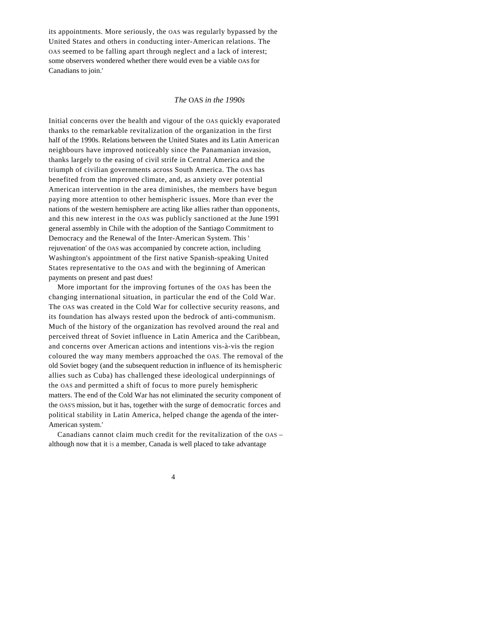its appointments. More seriously, the OAS was regularly bypassed by the United States and others in conducting inter-American relations. The OAS seemed to be falling apart through neglect and a lack of interest; some observers wondered whether there would even be a viable OAS for Canadians to join.'

### *The* OAS *in the 1990s*

Initial concerns over the health and vigour of the OAS quickly evaporated thanks to the remarkable revitalization of the organization in the first half of the 1990s. Relations between the United States and its Latin American neighbours have improved noticeably since the Panamanian invasion, thanks largely to the easing of civil strife in Central America and the triumph of civilian governments across South America. The OAS has benefited from the improved climate, and, as anxiety over potential American intervention in the area diminishes, the members have begun paying more attention to other hemispheric issues. More than ever the nations of the western hemisphere are acting like allies rather than opponents, and this new interest in the OAS was publicly sanctioned at the June 1991 general assembly in Chile with the adoption of the Santiago Commitment to Democracy and the Renewal of the Inter-American System. This ' rejuvenation' of the OAS was accompanied by concrete action, including Washington's appointment of the first native Spanish-speaking United States representative to the OAS and with the beginning of American payments on present and past dues!

More important for the improving fortunes of the OAS has been the changing international situation, in particular the end of the Cold War. The OAS was created in the Cold War for collective security reasons, and its foundation has always rested upon the bedrock of anti-communism. Much of the history of the organization has revolved around the real and perceived threat of Soviet influence in Latin America and the Caribbean, and concerns over American actions and intentions vis-à-vis the region coloured the way many members approached the OAS. The removal of the old Soviet bogey (and the subsequent reduction in influence of its hemispheric allies such as Cuba) has challenged these ideological underpinnings of the OAS and permitted a shift of focus to more purely hemispheric matters. The end of the Cold War has not eliminated the security component of the OAS'S mission, but it has, together with the surge of democratic forces and political stability in Latin America, helped change the agenda of the inter-American system.'

Canadians cannot claim much credit for the revitalization of the OAS – although now that it is a member, Canada is well placed to take advantage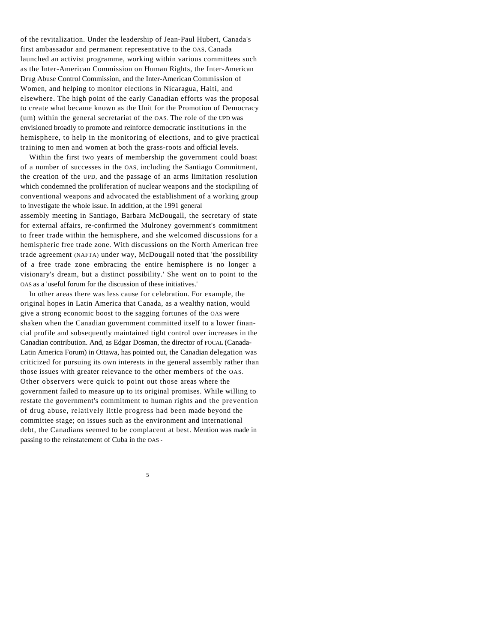of the revitalization. Under the leadership of Jean-Paul Hubert, Canada's first ambassador and permanent representative to the OAS, Canada launched an activist programme, working within various committees such as the Inter-American Commission on Human Rights, the Inter-American Drug Abuse Control Commission, and the Inter-American Commission of Women, and helping to monitor elections in Nicaragua, Haiti, and elsewhere. The high point of the early Canadian efforts was the proposal to create what became known as the Unit for the Promotion of Democracy (um) within the general secretariat of the OAS. The role of the UPD was envisioned broadly to promote and reinforce democratic institutions in the hemisphere, to help in the monitoring of elections, and to give practical training to men and women at both the grass-roots and official levels.

Within the first two years of membership the government could boast of a number of successes in the OAS, including the Santiago Commitment, the creation of the UPD, and the passage of an arms limitation resolution which condemned the proliferation of nuclear weapons and the stockpiling of conventional weapons and advocated the establishment of a working group to investigate the whole issue. In addition, at the 1991 general assembly meeting in Santiago, Barbara McDougall, the secretary of state for external affairs, re-confirmed the Mulroney government's commitment to freer trade within the hemisphere, and she welcomed discussions for a hemispheric free trade zone. With discussions on the North American free trade agreement (NAFTA) under way, McDougall noted that 'the possibility of a free trade zone embracing the entire hemisphere is no longer a visionary's dream, but a distinct possibility.' She went on to point to the

OAS as a 'useful forum for the discussion of these initiatives.'

In other areas there was less cause for celebration. For example, the original hopes in Latin America that Canada, as a wealthy nation, would give a strong economic boost to the sagging fortunes of the OAS were shaken when the Canadian government committed itself to a lower financial profile and subsequently maintained tight control over increases in the Canadian contribution. And, as Edgar Dosman, the director of FOCAL (Canada-Latin America Forum) in Ottawa, has pointed out, the Canadian delegation was criticized for pursuing its own interests in the general assembly rather than those issues with greater relevance to the other members of the OAS. Other observers were quick to point out those areas where the government failed to measure up to its original promises. While willing to restate the government's commitment to human rights and the prevention of drug abuse, relatively little progress had been made beyond the committee stage; on issues such as the environment and international debt, the Canadians seemed to be complacent at best. Mention was made in passing to the reinstatement of Cuba in the OAS -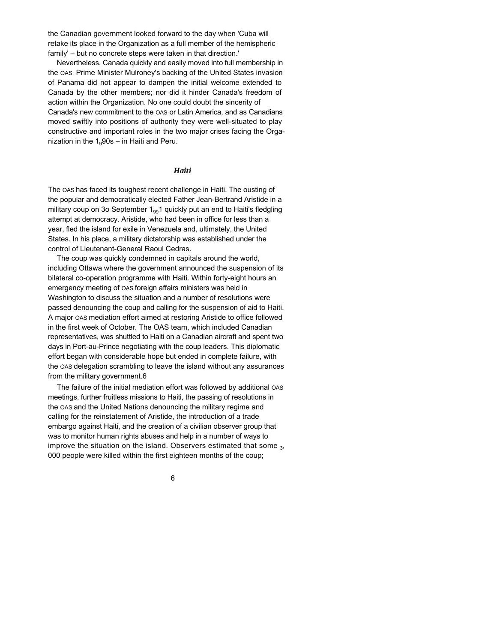the Canadian government looked forward to the day when 'Cuba will retake its place in the Organization as a full member of the hemispheric family' – but no concrete steps were taken in that direction.'

Nevertheless, Canada quickly and easily moved into full membership in the OAS. Prime Minister Mulroney's backing of the United States invasion of Panama did not appear to dampen the initial welcome extended to Canada by the other members; nor did it hinder Canada's freedom of action within the Organization. No one could doubt the sincerity of Canada's new commitment to the OAS or Latin America, and as Canadians moved swiftly into positions of authority they were well-situated to play constructive and important roles in the two major crises facing the Organization in the  $1<sub>9</sub>90s - in$  Haiti and Peru.

#### *Haiti*

The OAS has faced its toughest recent challenge in Haiti. The ousting of the popular and democratically elected Father Jean-Bertrand Aristide in a military coup on 3o September  $1_{99}1$  quickly put an end to Haiti's fledgling attempt at democracy. Aristide, who had been in office for less than a year, fled the island for exile in Venezuela and, ultimately, the United States. In his place, a military dictatorship was established under the control of Lieutenant-General Raoul Cedras.

The coup was quickly condemned in capitals around the world, including Ottawa where the government announced the suspension of its bilateral co-operation programme with Haiti. Within forty-eight hours an emergency meeting of OAS foreign affairs ministers was held in Washington to discuss the situation and a number of resolutions were passed denouncing the coup and calling for the suspension of aid to Haiti. A major OAS mediation effort aimed at restoring Aristide to office followed in the first week of October. The OAS team, which included Canadian representatives, was shuttled to Haiti on a Canadian aircraft and spent two days in Port-au-Prince negotiating with the coup leaders. This diplomatic effort began with considerable hope but ended in complete failure, with the OAS delegation scrambling to leave the island without any assurances from the military government.6

The failure of the initial mediation effort was followed by additional OAS meetings, further fruitless missions to Haiti, the passing of resolutions in the OAS and the United Nations denouncing the military regime and calling for the reinstatement of Aristide, the introduction of a trade embargo against Haiti, and the creation of a civilian observer group that was to monitor human rights abuses and help in a number of ways to improve the situation on the island. Observers estimated that some  $_{\text{3}}$ , 000 people were killed within the first eighteen months of the coup;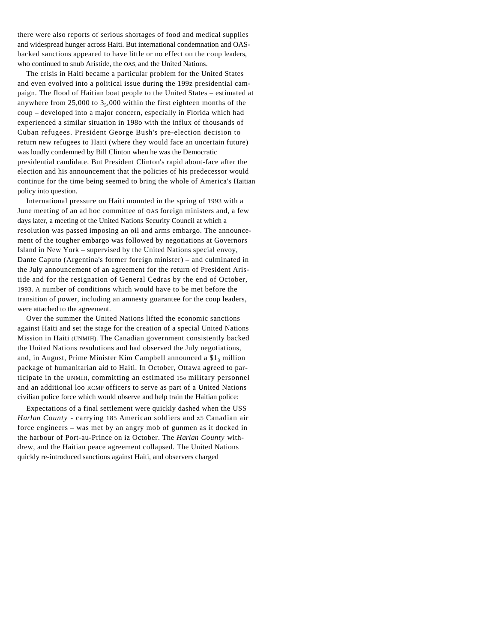there were also reports of serious shortages of food and medical supplies and widespread hunger across Haiti. But international condemnation and OASbacked sanctions appeared to have little or no effect on the coup leaders, who continued to snub Aristide, the OAS, and the United Nations.

The crisis in Haiti became a particular problem for the United States and even evolved into a political issue during the 199z presidential campaign. The flood of Haitian boat people to the United States – estimated at anywhere from  $25,000$  to  $3,000$  within the first eighteen months of the coup – developed into a major concern, especially in Florida which had experienced a similar situation in 198o with the influx of thousands of Cuban refugees. President George Bush's pre-election decision to return new refugees to Haiti (where they would face an uncertain future) was loudly condemned by Bill Clinton when he was the Democratic presidential candidate. But President Clinton's rapid about-face after the election and his announcement that the policies of his predecessor would continue for the time being seemed to bring the whole of America's Haitian policy into question.

International pressure on Haiti mounted in the spring of 1993 with a June meeting of an ad hoc committee of OAS foreign ministers and, a few days later, a meeting of the United Nations Security Council at which a resolution was passed imposing an oil and arms embargo. The announcement of the tougher embargo was followed by negotiations at Governors Island in New York – supervised by the United Nations special envoy, Dante Caputo (Argentina's former foreign minister) – and culminated in the July announcement of an agreement for the return of President Aristide and for the resignation of General Cedras by the end of October, 1993. A number of conditions which would have to be met before the transition of power, including an amnesty guarantee for the coup leaders, were attached to the agreement.

Over the summer the United Nations lifted the economic sanctions against Haiti and set the stage for the creation of a special United Nations Mission in Haiti (UNMIH). The Canadian government consistently backed the United Nations resolutions and had observed the July negotiations, and, in August, Prime Minister Kim Campbell announced a  $$1_3$  million package of humanitarian aid to Haiti. In October, Ottawa agreed to participate in the UNMIH, committing an estimated 15o military personnel and an additional loo RCMP officers to serve as part of a United Nations civilian police force which would observe and help train the Haitian police:

Expectations of a final settlement were quickly dashed when the USS *Harlan County -* carrying 185 American soldiers and z5 Canadian air force engineers – was met by an angry mob of gunmen as it docked in the harbour of Port-au-Prince on iz October. The *Harlan County* withdrew, and the Haitian peace agreement collapsed. The United Nations quickly re-introduced sanctions against Haiti, and observers charged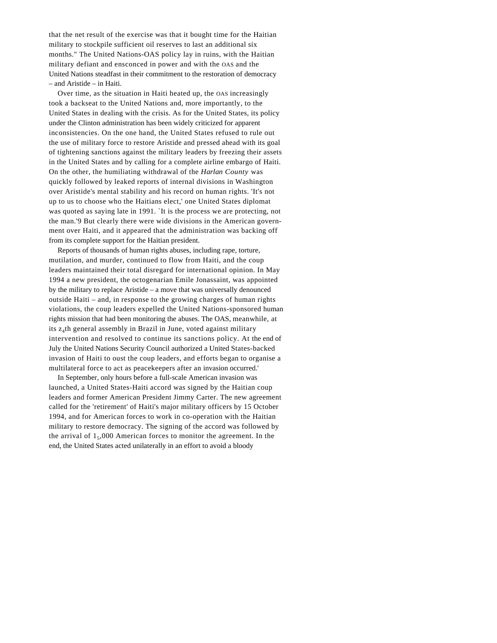that the net result of the exercise was that it bought time for the Haitian military to stockpile sufficient oil reserves to last an additional six months." The United Nations-OAS policy lay in ruins, with the Haitian military defiant and ensconced in power and with the OAS and the United Nations steadfast in their commitment to the restoration of democracy – and Aristide – in Haiti.

Over time, as the situation in Haiti heated up, the OAS increasingly took a backseat to the United Nations and, more importantly, to the United States in dealing with the crisis. As for the United States, its policy under the Clinton administration has been widely criticized for apparent inconsistencies. On the one hand, the United States refused to rule out the use of military force to restore Aristide and pressed ahead with its goal of tightening sanctions against the military leaders by freezing their assets in the United States and by calling for a complete airline embargo of Haiti. On the other, the humiliating withdrawal of the *Harlan County* was quickly followed by leaked reports of internal divisions in Washington over Aristide's mental stability and his record on human rights. 'It's not up to us to choose who the Haitians elect,' one United States diplomat was quoted as saying late in 1991. `It is the process we are protecting, not the man.'9 But clearly there were wide divisions in the American government over Haiti, and it appeared that the administration was backing off from its complete support for the Haitian president.

Reports of thousands of human rights abuses, including rape, torture, mutilation, and murder, continued to flow from Haiti, and the coup leaders maintained their total disregard for international opinion. In May 1994 a new president, the octogenarian Emile Jonassaint, was appointed by the military to replace Aristide – a move that was universally denounced outside Haiti – and, in response to the growing charges of human rights violations, the coup leaders expelled the United Nations-sponsored human rights mission that had been monitoring the abuses. The OAS, meanwhile, at its z<sup>4</sup> th general assembly in Brazil in June, voted against military intervention and resolved to continue its sanctions policy. At the end of July the United Nations Security Council authorized a United States-backed invasion of Haiti to oust the coup leaders, and efforts began to organise a multilateral force to act as peacekeepers after an invasion occurred.'

In September, only hours before a full-scale American invasion was launched, a United States-Haiti accord was signed by the Haitian coup leaders and former American President Jimmy Carter. The new agreement called for the 'retirement' of Haiti's major military officers by 15 October 1994, and for American forces to work in co-operation with the Haitian military to restore democracy. The signing of the accord was followed by the arrival of  $1<sub>5</sub>$ ,000 American forces to monitor the agreement. In the end, the United States acted unilaterally in an effort to avoid a bloody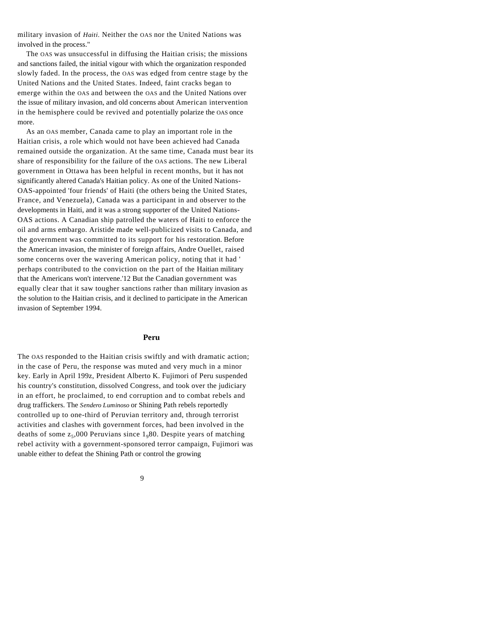military invasion of *Haiti.* Neither the OAS nor the United Nations was involved in the process."

The OAS was unsuccessful in diffusing the Haitian crisis; the missions and sanctions failed, the initial vigour with which the organization responded slowly faded. In the process, the OAS was edged from centre stage by the United Nations and the United States. Indeed, faint cracks began to emerge within the OAS and between the OAS and the United Nations over the issue of military invasion, and old concerns about American intervention in the hemisphere could be revived and potentially polarize the OAS once more.

As an OAS member, Canada came to play an important role in the Haitian crisis, a role which would not have been achieved had Canada remained outside the organization. At the same time, Canada must bear its share of responsibility for the failure of the OAS actions. The new Liberal government in Ottawa has been helpful in recent months, but it has not significantly altered Canada's Haitian policy. As one of the United Nations-OAS-appointed 'four friends' of Haiti (the others being the United States, France, and Venezuela), Canada was a participant in and observer to the developments in Haiti, and it was a strong supporter of the United Nations-OAS actions. A Canadian ship patrolled the waters of Haiti to enforce the oil and arms embargo. Aristide made well-publicized visits to Canada, and the government was committed to its support for his restoration. Before the American invasion, the minister of foreign affairs, Andre Ouellet, raised some concerns over the wavering American policy, noting that it had ' perhaps contributed to the conviction on the part of the Haitian military that the Americans won't intervene.'12 But the Canadian government was equally clear that it saw tougher sanctions rather than military invasion as the solution to the Haitian crisis, and it declined to participate in the American invasion of September 1994.

#### **Peru**

The OAS responded to the Haitian crisis swiftly and with dramatic action; in the case of Peru, the response was muted and very much in a minor key. Early in April 199z, President Alberto K. Fujimori of Peru suspended his country's constitution, dissolved Congress, and took over the judiciary in an effort, he proclaimed, to end corruption and to combat rebels and drug traffickers. The *Sendero Luminoso* or Shining Path rebels reportedly controlled up to one-third of Peruvian territory and, through terrorist activities and clashes with government forces, had been involved in the deaths of some  $z_5,000$  Peruvians since  $1_980$ . Despite years of matching rebel activity with a government-sponsored terror campaign, Fujimori was unable either to defeat the Shining Path or control the growing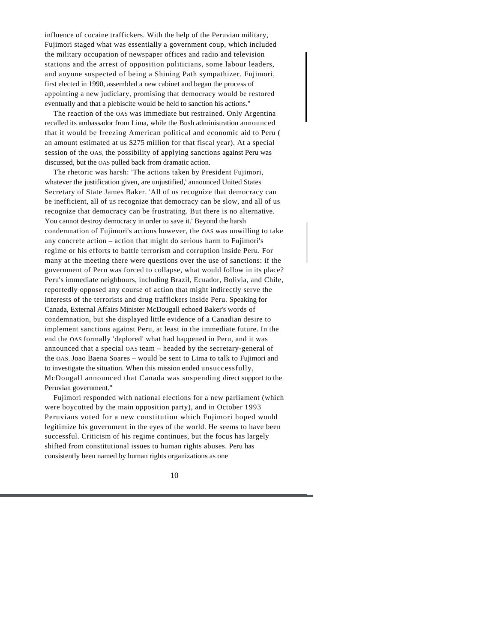influence of cocaine traffickers. With the help of the Peruvian military, Fujimori staged what was essentially a government coup, which included the military occupation of newspaper offices and radio and television stations and the arrest of opposition politicians, some labour leaders, and anyone suspected of being a Shining Path sympathizer. Fujimori, first elected in 1990, assembled a new cabinet and began the process of appointing a new judiciary, promising that democracy would be restored eventually and that a plebiscite would be held to sanction his actions."

The reaction of the OAS was immediate but restrained. Only Argentina recalled its ambassador from Lima, while the Bush administration announced that it would be freezing American political and economic aid to Peru ( an amount estimated at us \$275 million for that fiscal year). At a special session of the OAS, the possibility of applying sanctions against Peru was discussed, but the OAS pulled back from dramatic action.

The rhetoric was harsh: 'The actions taken by President Fujimori, whatever the justification given, are unjustified,' announced United States Secretary of State James Baker. 'All of us recognize that democracy can be inefficient, all of us recognize that democracy can be slow, and all of us recognize that democracy can be frustrating. But there is no alternative. You cannot destroy democracy in order to save it.' Beyond the harsh condemnation of Fujimori's actions however, the OAS was unwilling to take any concrete action – action that might do serious harm to Fujimori's regime or his efforts to battle terrorism and corruption inside Peru. For many at the meeting there were questions over the use of sanctions: if the government of Peru was forced to collapse, what would follow in its place? Peru's immediate neighbours, including Brazil, Ecuador, Bolivia, and Chile, reportedly opposed any course of action that might indirectly serve the interests of the terrorists and drug traffickers inside Peru. Speaking for Canada, External Affairs Minister McDougall echoed Baker's words of condemnation, but she displayed little evidence of a Canadian desire to implement sanctions against Peru, at least in the immediate future. In the end the OAS formally 'deplored' what had happened in Peru, and it was announced that a special OAS team – headed by the secretary-general of the OAS, Joao Baena Soares – would be sent to Lima to talk to Fujimori and to investigate the situation. When this mission ended unsuccessfully, McDougall announced that Canada was suspending direct support to the Peruvian government."

Fujimori responded with national elections for a new parliament (which were boycotted by the main opposition party), and in October 1993 Peruvians voted for a new constitution which Fujimori hoped would legitimize his government in the eyes of the world. He seems to have been successful. Criticism of his regime continues, but the focus has largely shifted from constitutional issues to human rights abuses. Peru has consistently been named by human rights organizations as one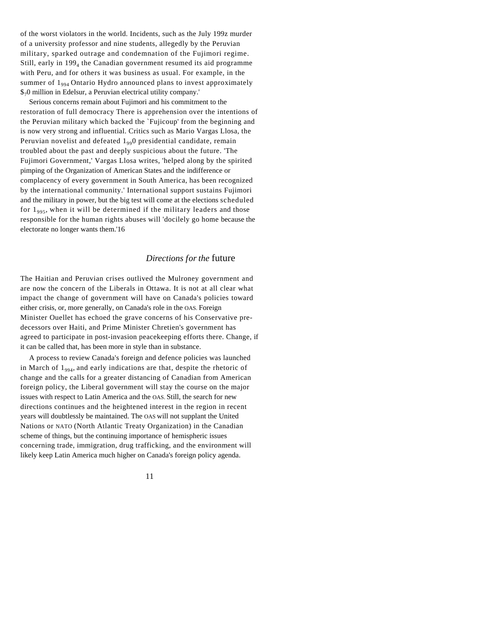of the worst violators in the world. Incidents, such as the July 199z murder of a university professor and nine students, allegedly by the Peruvian military, sparked outrage and condemnation of the Fujimori regime. Still, early in 199<sub>4</sub> the Canadian government resumed its aid programme with Peru, and for others it was business as usual. For example, in the summer of  $1_{994}$  Ontario Hydro announced plans to invest approximately \$70 million in Edelsur, a Peruvian electrical utility company.'

Serious concerns remain about Fujimori and his commitment to the restoration of full democracy There is apprehension over the intentions of the Peruvian military which backed the `Fujicoup' from the beginning and is now very strong and influential. Critics such as Mario Vargas Llosa, the Peruvian novelist and defeated  $1_{99}$ 0 presidential candidate, remain troubled about the past and deeply suspicious about the future. 'The Fujimori Government,' Vargas Llosa writes, 'helped along by the spirited pimping of the Organization of American States and the indifference or complacency of every government in South America, has been recognized by the international community.' International support sustains Fujimori and the military in power, but the big test will come at the elections scheduled for  $1_{995}$ , when it will be determined if the military leaders and those responsible for the human rights abuses will 'docilely go home because the electorate no longer wants them.'16

## *Directions for the* future

The Haitian and Peruvian crises outlived the Mulroney government and are now the concern of the Liberals in Ottawa. It is not at all clear what impact the change of government will have on Canada's policies toward either crisis, or, more generally, on Canada's role in the OAS. Foreign Minister Ouellet has echoed the grave concerns of his Conservative predecessors over Haiti, and Prime Minister Chretien's government has agreed to participate in post-invasion peacekeeping efforts there. Change, if it can be called that, has been more in style than in substance.

A process to review Canada's foreign and defence policies was launched in March of  $1_{994}$ , and early indications are that, despite the rhetoric of change and the calls for a greater distancing of Canadian from American foreign policy, the Liberal government will stay the course on the major issues with respect to Latin America and the OAS. Still, the search for new directions continues and the heightened interest in the region in recent years will doubtlessly be maintained. The OAS will not supplant the United Nations or NATO (North Atlantic Treaty Organization) in the Canadian scheme of things, but the continuing importance of hemispheric issues concerning trade, immigration, drug trafficking, and the environment will likely keep Latin America much higher on Canada's foreign policy agenda.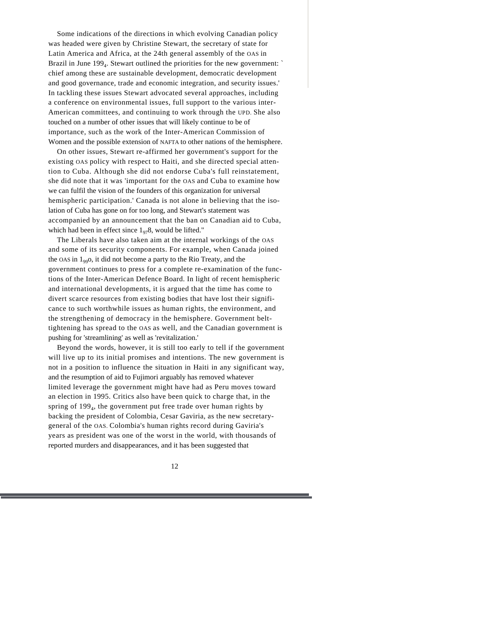Some indications of the directions in which evolving Canadian policy was headed were given by Christine Stewart, the secretary of state for Latin America and Africa, at the 24th general assembly of the OAS in Brazil in June 199<sub>4</sub>. Stewart outlined the priorities for the new government: ` chief among these are sustainable development, democratic development and good governance, trade and economic integration, and security issues.' In tackling these issues Stewart advocated several approaches, including a conference on environmental issues, full support to the various inter-American committees, and continuing to work through the UPD. She also touched on a number of other issues that will likely continue to be of importance, such as the work of the Inter-American Commission of Women and the possible extension of NAFTA to other nations of the hemisphere.

On other issues, Stewart re-affirmed her government's support for the existing OAS policy with respect to Haiti, and she directed special attention to Cuba. Although she did not endorse Cuba's full reinstatement, she did note that it was 'important for the OAS and Cuba to examine how we can fulfil the vision of the founders of this organization for universal hemispheric participation.' Canada is not alone in believing that the isolation of Cuba has gone on for too long, and Stewart's statement was accompanied by an announcement that the ban on Canadian aid to Cuba, which had been in effect since  $1_{97}8$ , would be lifted."

The Liberals have also taken aim at the internal workings of the OAS and some of its security components. For example, when Canada joined the OAS in  $1_{99}$ O, it did not become a party to the Rio Treaty, and the government continues to press for a complete re-examination of the functions of the Inter-American Defence Board. In light of recent hemispheric and international developments, it is argued that the time has come to divert scarce resources from existing bodies that have lost their significance to such worthwhile issues as human rights, the environment, and the strengthening of democracy in the hemisphere. Government belttightening has spread to the OAS as well, and the Canadian government is pushing for 'streamlining' as well as 'revitalization.'

Beyond the words, however, it is still too early to tell if the government will live up to its initial promises and intentions. The new government is not in a position to influence the situation in Haiti in any significant way, and the resumption of aid to Fujimori arguably has removed whatever limited leverage the government might have had as Peru moves toward an election in 1995. Critics also have been quick to charge that, in the spring of 199<sub>4</sub>, the government put free trade over human rights by backing the president of Colombia, Cesar Gaviria, as the new secretarygeneral of the OAS. Colombia's human rights record during Gaviria's years as president was one of the worst in the world, with thousands of reported murders and disappearances, and it has been suggested that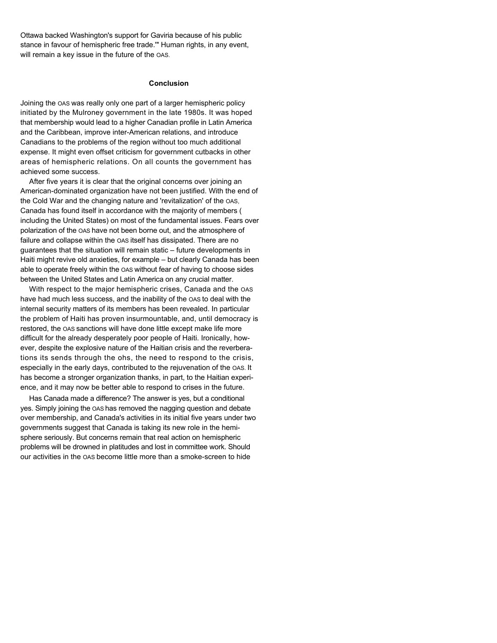Ottawa backed Washington's support for Gaviria because of his public stance in favour of hemispheric free trade.'" Human rights, in any event, will remain a key issue in the future of the OAS.

#### **Conclusion**

Joining the OAS was really only one part of a larger hemispheric policy initiated by the Mulroney government in the late 1980s. It was hoped that membership would lead to a higher Canadian profile in Latin America and the Caribbean, improve inter-American relations, and introduce Canadians to the problems of the region without too much additional expense. It might even offset criticism for government cutbacks in other areas of hemispheric relations. On all counts the government has achieved some success.

After five years it is clear that the original concerns over joining an American-dominated organization have not been justified. With the end of the Cold War and the changing nature and 'revitalization' of the OAS, Canada has found itself in accordance with the majority of members ( including the United States) on most of the fundamental issues. Fears over polarization of the OAS have not been borne out, and the atmosphere of failure and collapse within the OAS itself has dissipated. There are no guarantees that the situation will remain static – future developments in Haiti might revive old anxieties, for example – but clearly Canada has been able to operate freely within the OAS without fear of having to choose sides between the United States and Latin America on any crucial matter.

With respect to the major hemispheric crises, Canada and the OAS have had much less success, and the inability of the OAS to deal with the internal security matters of its members has been revealed. In particular the problem of Haiti has proven insurmountable, and, until democracy is restored, the OAS sanctions will have done little except make life more difficult for the already desperately poor people of Haiti. Ironically, however, despite the explosive nature of the Haitian crisis and the reverberations its sends through the ohs, the need to respond to the crisis, especially in the early days, contributed to the rejuvenation of the OAS. It has become a stronger organization thanks, in part, to the Haitian experience, and it may now be better able to respond to crises in the future.

Has Canada made a difference? The answer is yes, but a conditional yes. Simply joining the OAS has removed the nagging question and debate over membership, and Canada's activities in its initial five years under two governments suggest that Canada is taking its new role in the hemisphere seriously. But concerns remain that real action on hemispheric problems will be drowned in platitudes and lost in committee work. Should our activities in the OAS become little more than a smoke-screen to hide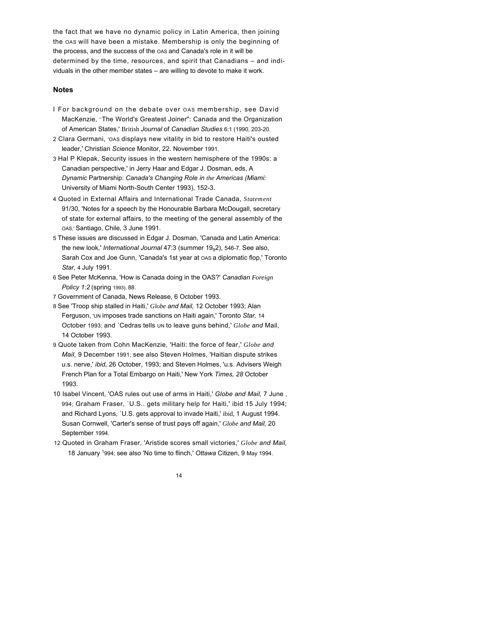the fact that we have no dynamic policy in Latin America, then joining the OAS will have been a mistake. Membership is only the beginning of the process, and the success of the OAS and Canada's role in it will be determined by the time, resources, and spirit that Canadians – and individuals in the other member states – are willing to devote to make it work.

#### **Notes**

- I For background on the debate over OAS membership, see David MacKenzie, –The World's Greatest Joiner": Canada and the Organization of American States,' British *Journal* of *Canadian Studies* 6:1 (1990, 203-20.
- 2 Clara Germani, 'OAS displays new vitality in bid to restore Haiti's ousted leader,' Christian *Science* Monitor, 22. November 1991.
- 3 Hal P Klepak, Security issues in the western hemisphere of the 1990s: a Canadian perspective,' in Jerry Haar and Edgar J. Dosman, eds, A *Dynamic* Partnership: *Canada's Changing Role in the Americas (Miami:*  University of Miami North-South Center 1993), 152-3.
- 4 Quoted in External Affairs and International Trade Canada, *Statement*  91/30, 'Notes for a speech by the Honourable Barbara McDougall, secretary of state for external affairs, to the meeting of the general assembly of the OAS,' Santiago, Chile, 3 June 1991.
- 5 These issues are discussed in Edgar J. Dosman, 'Canada and Latin America: the new look,' *International Journal* 47:3 (summer 19<sub>9</sub>2), 546-7. See also, Sarah Cox and Joe Gunn, 'Canada's 1st year at oas a diplomatic flop,' Toronto *Star,* 4 July 1991.
- 6 See Peter McKenna, 'How is Canada doing in the OAS?' *Canadian Foreign Policy 1:2* (spring 1993), 88.
- 7 Government of Canada, News Release, 6 October 1993.
- 8 See 'Troop ship stalled in Haiti,' *Globe and Mail,* 12 October 1993; Alan Ferguson, 'UN imposes trade sanctions on Haiti again,' Toronto *Star,* 14 October 1993; and `Cedras tells UN to leave guns behind,' *Globe and* Mail, 14 October 1993.
- 9 Quote taken from Cohn MacKenzie, 'Haiti: the force of fear,' *Globe and Mail,* 9 December 1991; see also Steven Holmes, 'Haitian dispute strikes u.s. nerve,' *ibid,* 26 October, 1993; and Steven Holmes, 'u.s. Advisers Weigh French Plan for a Total Embargo on Haiti,' New York *Times, 28* October 1993.
- 10 Isabel Vincent, 'OAS rules out use of arms in Haiti,' *Globe and Mail,* 7 June , 994; Graham Fraser, `U.S.. gets military help for Haiti,' ibid 15 July 1994; and Richard Lyons, `U.S. gets approval to invade Haiti,' ibid, 1 August 1994. Susan Cornwell, 'Carter's sense of trust pays off again,' *Globe and Mail,* 20 September 1994.
- 12 Quoted in Graham Fraser, 'Aristide scores small victories,' *Globe and Mail,* 18 January <sup>1</sup>994; see also 'No time to flinch,' *Ottawa* Citizen, 9 May 1994.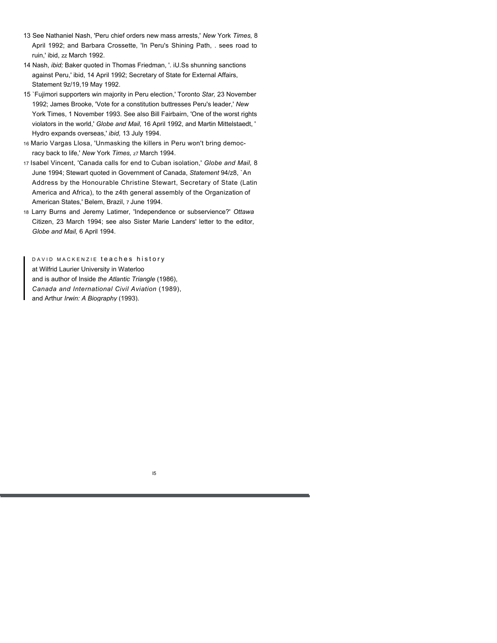- 13 See Nathaniel Nash, 'Peru chief orders new mass arrests,' *New* York *Times,* 8 April 1992; and Barbara Crossette, 'In Peru's Shining Path, . sees road to ruin,' ibid, zz March 1992.
- 14 Nash, *ibid;* Baker quoted in Thomas Friedman, '. iU.Ss shunning sanctions against Peru,' ibid, 14 April 1992; Secretary of State for External Affairs, Statement 9z/19,19 May 1992.
- 15 `Fujimori supporters win majority in Peru election,' Toronto *Star,* 23 November 1992; James Brooke, 'Vote for a constitution buttresses Peru's leader,' *New*  York Times, 1 November 1993. See also Bill Fairbairn, 'One of the worst rights violators in the world,' *Globe and Mail,* 16 April 1992, and Martin Mittelstaedt, ' Hydro expands overseas,' *ibid,* 13 July 1994.
- 16 Mario Vargas Llosa, 'Unmasking the killers in Peru won't bring democracy back to life,' *New* York *Times,* z7 March 1994.
- 17 Isabel Vincent, 'Canada calls for end to Cuban isolation,' *Globe and Mail,* 8 June 1994; Stewart quoted in Government of Canada, *Statement* 94/z8, `An Address by the Honourable Christine Stewart, Secretary of State (Latin America and Africa), to the z4th general assembly of the Organization of American States,' Belem, Brazil, 7 June 1994.
- 18 Larry Burns and Jeremy Latimer, 'Independence or subservience?' *Ottawa*  Citizen, 23 March 1994; see also Sister Marie Landers' letter to the editor, *Globe and Mail,* 6 April 1994.

DAVID MACKENZIE teaches history at Wilfrid Laurier University in Waterloo and is author of Inside *the Atlantic Triangle* (1986), *Canada and International Civil Aviation* (1989), and Arthur *Irwin: A Biography* (1993).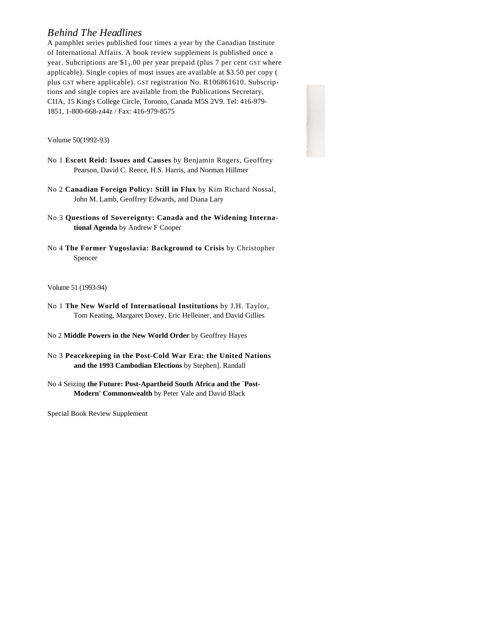## *Behind The Headlines*

A pamphlet series published four times a year by the Canadian Institute of International Affairs. A book review supplement is published once a year. Subcriptions are \$1<sub>3</sub>.00 per year prepaid (plus 7 per cent GST where applicable). Single copies of most issues are available at \$3.50 per copy ( plus GST where applicable). GST registration No. R106861610. Subscriptions and single copies are available from the Publications Secretary, CIIA, 15 King's College Circle, Toronto, Canada M5S 2V9. Tel: 416-979- 1851, 1-800-668-z44z / Fax: 416-979-8575

Volume 50(1992-93)

- No 1 **Escott Reid: Issues and Causes** by Benjamin Rogers, Geoffrey Pearson, David C. Reece, H.S. Harris, and Norman Hillmer
- No 2 **Canadian Foreign Policy: Still in Flux** by Kim Richard Nossal, John M. Lamb, Geoffrey Edwards, and Diana Lary
- No 3 **Questions of Sovereignty: Canada and the Widening International Agenda** by Andrew F Cooper
- No 4 **The Former Yugoslavia: Background to Crisis** by Christopher Spencer

Volume 51 (1993-94)

- No 1 **The New World of International Institutions** by J.H. Taylor, Tom Keating, Margaret Doxey, Eric Helleiner, and David Gillies
- No 2 **Middle Powers in the New World Order** by Geoffrey Hayes
- No 3 **Peacekeeping in the Post-Cold War Era: the United Nations and the 1993 Cambodian Elections** by Stephen]. Randall

No 4 Seizing **the Future: Post-Apartheid South Africa and the `Post-Modern' Commonwealth** by Peter Vale and David Black

Special Book Review Supplement